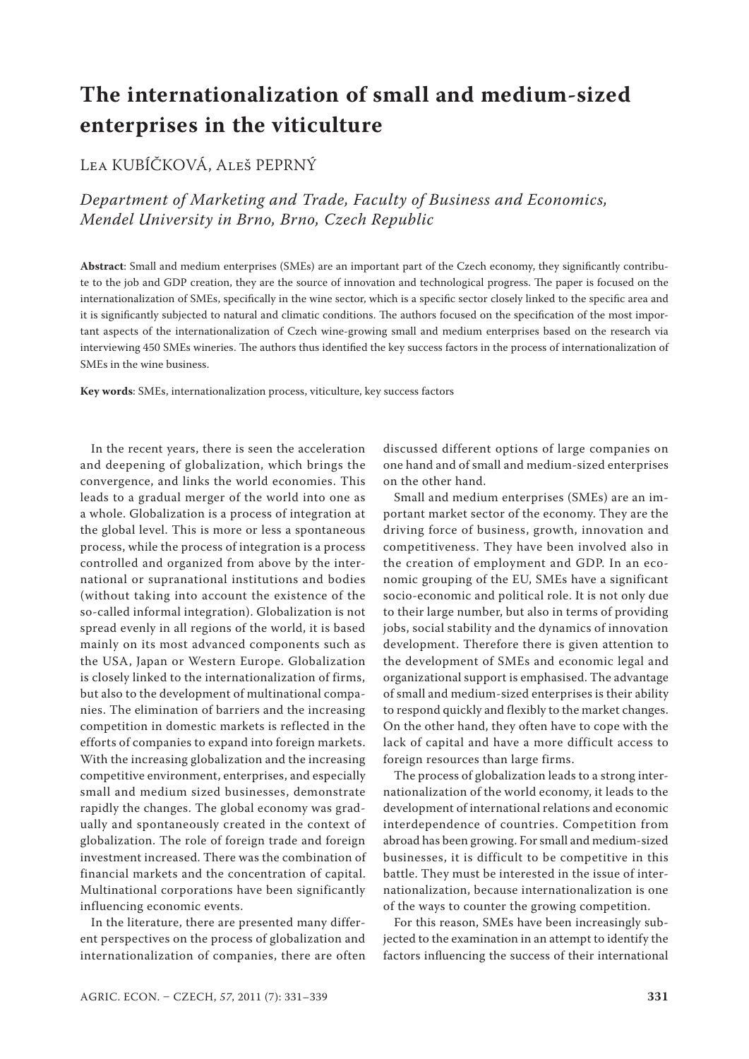# **The internationalization of small and medium-sized enterprises in the viticulture**

Lea KUBÍČKOVÁ, Aleš PEPRNÝ

*Department of Marketing and Trade, Faculty of Business and Economics, Mendel University in Brno, Brno, Czech Republic*

**Abstract**: Small and medium enterprises (SMEs) are an important part of the Czech economy, they significantly contribute to the job and GDP creation, they are the source of innovation and technological progress. The paper is focused on the internationalization of SMEs, specifically in the wine sector, which is a specific sector closely linked to the specific area and it is significantly subjected to natural and climatic conditions. The authors focused on the specification of the most important aspects of the internationalization of Czech wine-growing small and medium enterprises based on the research via interviewing 450 SMEs wineries. The authors thus identified the key success factors in the process of internationalization of SMEs in the wine business.

**Key words**: SMEs, internationalization process, viticulture, key success factors

In the recent years, there is seen the acceleration and deepening of globalization, which brings the convergence, and links the world economies. This leads to a gradual merger of the world into one as a whole. Globalization is a process of integration at the global level. This is more or less a spontaneous process, while the process of integration is a process controlled and organized from above by the international or supranational institutions and bodies (without taking into account the existence of the so-called informal integration). Globalization is not spread evenly in all regions of the world, it is based mainly on its most advanced components such as the USA, Japan or Western Europe. Globalization is closely linked to the internationalization of firms, but also to the development of multinational companies. The elimination of barriers and the increasing competition in domestic markets is reflected in the efforts of companies to expand into foreign markets. With the increasing globalization and the increasing competitive environment, enterprises, and especially small and medium sized businesses, demonstrate rapidly the changes. The global economy was gradually and spontaneously created in the context of globalization. The role of foreign trade and foreign investment increased. There was the combination of financial markets and the concentration of capital. Multinational corporations have been significantly influencing economic events.

In the literature, there are presented many different perspectives on the process of globalization and internationalization of companies, there are often

discussed different options of large companies on one hand and of small and medium-sized enterprises on the other hand.

Small and medium enterprises (SMEs) are an important market sector of the economy. They are the driving force of business, growth, innovation and competitiveness. They have been involved also in the creation of employment and GDP. In an economic grouping of the EU, SMEs have a significant socio-economic and political role. It is not only due to their large number, but also in terms of providing jobs, social stability and the dynamics of innovation development. Therefore there is given attention to the development of SMEs and economic legal and organizational support is emphasised. The advantage of small and medium-sized enterprises is their ability to respond quickly and flexibly to the market changes. On the other hand, they often have to cope with the lack of capital and have a more difficult access to foreign resources than large firms.

The process of globalization leads to a strong internationalization of the world economy, it leads to the development of international relations and economic interdependence of countries. Competition from abroad has been growing. For small and medium-sized businesses, it is difficult to be competitive in this battle. They must be interested in the issue of internationalization, because internationalization is one of the ways to counter the growing competition.

For this reason, SMEs have been increasingly subjected to the examination in an attempt to identify the factors influencing the success of their international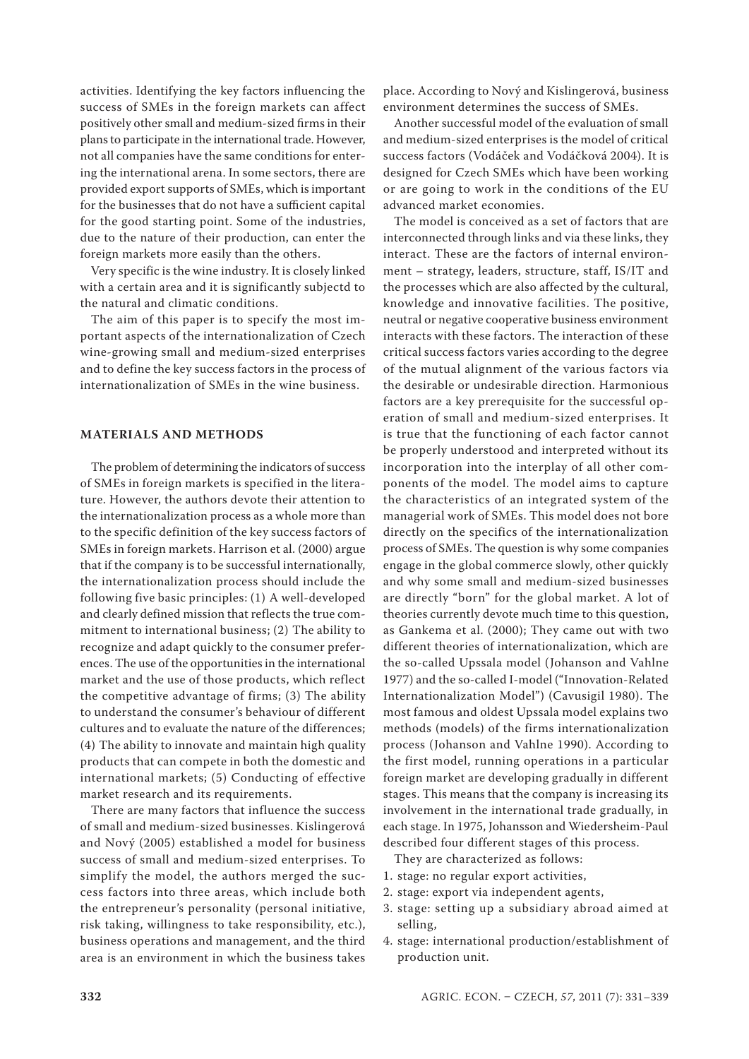activities. Identifying the key factors influencing the success of SMEs in the foreign markets can affect positively other small and medium-sized firms in their plans to participate in the international trade. However, not all companies have the same conditions for entering the international arena. In some sectors, there are provided export supports of SMEs, which is important for the businesses that do not have a sufficient capital for the good starting point. Some of the industries, due to the nature of their production, can enter the foreign markets more easily than the others.

Very specific is the wine industry. It is closely linked with a certain area and it is significantly subjectd to the natural and climatic conditions.

The aim of this paper is to specify the most important aspects of the internationalization of Czech wine-growing small and medium-sized enterprises and to define the key success factors in the process of internationalization of SMEs in the wine business.

## **MATERIALS AND METHODS**

The problem of determining the indicators of success of SMEs in foreign markets is specified in the literature. However, the authors devote their attention to the internationalization process as a whole more than to the specific definition of the key success factors of SMEs in foreign markets. Harrison et al. (2000) argue that if the company is to be successful internationally, the internationalization process should include the following five basic principles: (1) A well-developed and clearly defined mission that reflects the true commitment to international business; (2) The ability to recognize and adapt quickly to the consumer preferences. The use of the opportunities in the international market and the use of those products, which reflect the competitive advantage of firms; (3) The ability to understand the consumer's behaviour of different cultures and to evaluate the nature of the differences; (4) The ability to innovate and maintain high quality products that can compete in both the domestic and international markets; (5) Conducting of effective market research and its requirements.

There are many factors that influence the success of small and medium-sized businesses. Kislingerová and Nový (2005) established a model for business success of small and medium-sized enterprises. To simplify the model, the authors merged the success factors into three areas, which include both the entrepreneur's personality (personal initiative, risk taking, willingness to take responsibility, etc.), business operations and management, and the third area is an environment in which the business takes

place. According to Nový and Kislingerová, business environment determines the success of SMEs.

Another successful model of the evaluation of small and medium-sized enterprises is the model of critical success factors (Vodáček and Vodáčková 2004). It is designed for Czech SMEs which have been working or are going to work in the conditions of the EU advanced market economies.

The model is conceived as a set of factors that are interconnected through links and via these links, they interact. These are the factors of internal environment – strategy, leaders, structure, staff, IS/IT and the processes which are also affected by the cultural, knowledge and innovative facilities. The positive, neutral or negative cooperative business environment interacts with these factors. The interaction of these critical success factors varies according to the degree of the mutual alignment of the various factors via the desirable or undesirable direction. Harmonious factors are a key prerequisite for the successful operation of small and medium-sized enterprises. It is true that the functioning of each factor cannot be properly understood and interpreted without its incorporation into the interplay of all other components of the model. The model aims to capture the characteristics of an integrated system of the managerial work of SMEs. This model does not bore directly on the specifics of the internationalization process of SMEs. The question is why some companies engage in the global commerce slowly, other quickly and why some small and medium-sized businesses are directly "born" for the global market. A lot of theories currently devote much time to this question, as Gankema et al. (2000); They came out with two different theories of internationalization, which are the so-called Upssala model (Johanson and Vahlne 1977) and the so-called I-model ("Innovation-Related Internationalization Model") (Cavusigil 1980). The most famous and oldest Upssala model explains two methods (models) of the firms internationalization process (Johanson and Vahlne 1990). According to the first model, running operations in a particular foreign market are developing gradually in different stages. This means that the company is increasing its involvement in the international trade gradually, in each stage. In 1975, Johansson and Wiedersheim-Paul described four different stages of this process.

They are characterized as follows:

- 1. stage: no regular export activities,
- 2. stage: export via independent agents,
- 3. stage: setting up a subsidiary abroad aimed at selling,
- 4. stage: international production/establishment of production unit.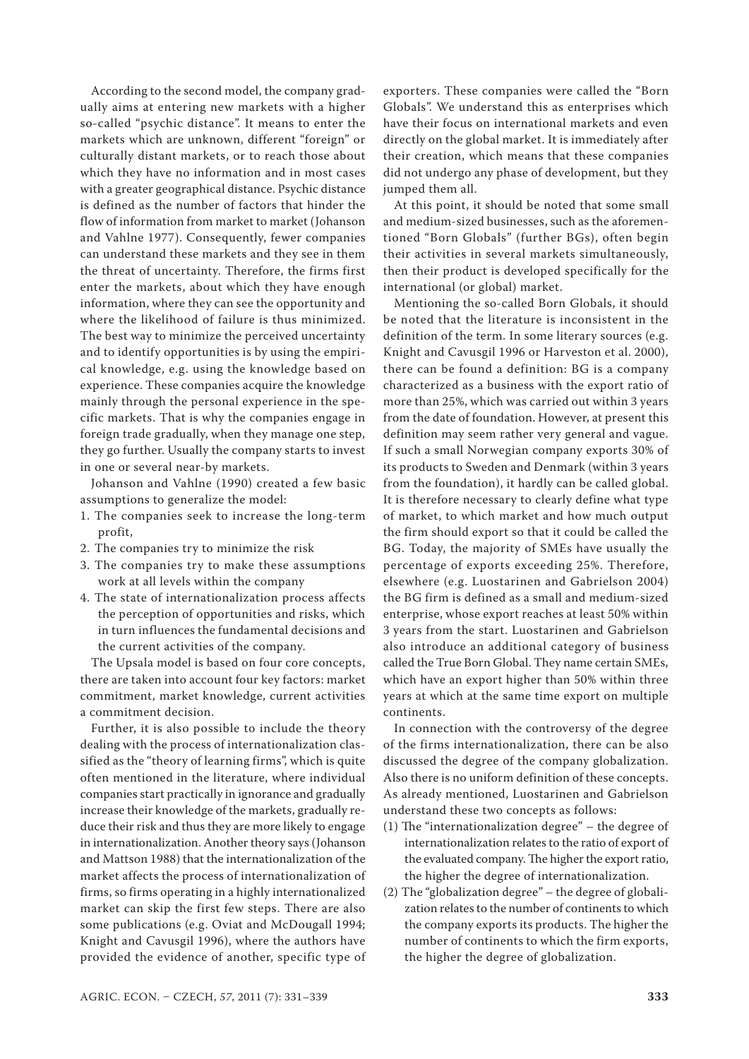According to the second model, the company gradually aims at entering new markets with a higher so-called "psychic distance". It means to enter the markets which are unknown, different "foreign" or culturally distant markets, or to reach those about which they have no information and in most cases with a greater geographical distance. Psychic distance is defined as the number of factors that hinder the flow of information from market to market (Johanson and Vahlne 1977). Consequently, fewer companies can understand these markets and they see in them the threat of uncertainty. Therefore, the firms first enter the markets, about which they have enough information, where they can see the opportunity and where the likelihood of failure is thus minimized. The best way to minimize the perceived uncertainty and to identify opportunities is by using the empirical knowledge, e.g. using the knowledge based on experience. These companies acquire the knowledge mainly through the personal experience in the specific markets. That is why the companies engage in foreign trade gradually, when they manage one step, they go further. Usually the company starts to invest in one or several near-by markets.

Johanson and Vahlne (1990) created a few basic assumptions to generalize the model:

- 1. The companies seek to increase the long-term profit,
- 2. The companies try to minimize the risk
- 3. The companies try to make these assumptions work at all levels within the company
- 4. The state of internationalization process affects the perception of opportunities and risks, which in turn influences the fundamental decisions and the current activities of the company.

The Upsala model is based on four core concepts, there are taken into account four key factors: market commitment, market knowledge, current activities a commitment decision.

Further, it is also possible to include the theory dealing with the process of internationalization classified as the "theory of learning firms", which is quite often mentioned in the literature, where individual companies start practically in ignorance and gradually increase their knowledge of the markets, gradually reduce their risk and thus they are more likely to engage in internationalization. Another theory says (Johanson and Mattson 1988) that the internationalization of the market affects the process of internationalization of firms, so firms operating in a highly internationalized market can skip the first few steps. There are also some publications (e.g. Oviat and McDougall 1994; Knight and Cavusgil 1996), where the authors have provided the evidence of another, specific type of

exporters. These companies were called the "Born Globals". We understand this as enterprises which have their focus on international markets and even directly on the global market. It is immediately after their creation, which means that these companies did not undergo any phase of development, but they jumped them all.

At this point, it should be noted that some small and medium-sized businesses, such as the aforementioned "Born Globals" (further BGs), often begin their activities in several markets simultaneously, then their product is developed specifically for the international (or global) market.

Mentioning the so-called Born Globals, it should be noted that the literature is inconsistent in the definition of the term. In some literary sources (e.g. Knight and Cavusgil 1996 or Harveston et al. 2000), there can be found a definition: BG is a company characterized as a business with the export ratio of more than 25%, which was carried out within 3 years from the date of foundation. However, at present this definition may seem rather very general and vague. If such a small Norwegian company exports 30% of its products to Sweden and Denmark (within 3 years from the foundation), it hardly can be called global. It is therefore necessary to clearly define what type of market, to which market and how much output the firm should export so that it could be called the BG. Today, the majority of SMEs have usually the percentage of exports exceeding 25%. Therefore, elsewhere (e.g. Luostarinen and Gabrielson 2004) the BG firm is defined as a small and medium-sized enterprise, whose export reaches at least 50% within 3 years from the start. Luostarinen and Gabrielson also introduce an additional category of business called the True Born Global. They name certain SMEs, which have an export higher than 50% within three years at which at the same time export on multiple continents.

In connection with the controversy of the degree of the firms internationalization, there can be also discussed the degree of the company globalization. Also there is no uniform definition of these concepts. As already mentioned, Luostarinen and Gabrielson understand these two concepts as follows:

- (1) The "internationalization degree" the degree of internationalization relates to the ratio of export of the evaluated company. The higher the export ratio, the higher the degree of internationalization.
- (2) The "globalization degree" the degree of globalization relates to the number of continents to which the company exports its products. The higher the number of continents to which the firm exports, the higher the degree of globalization.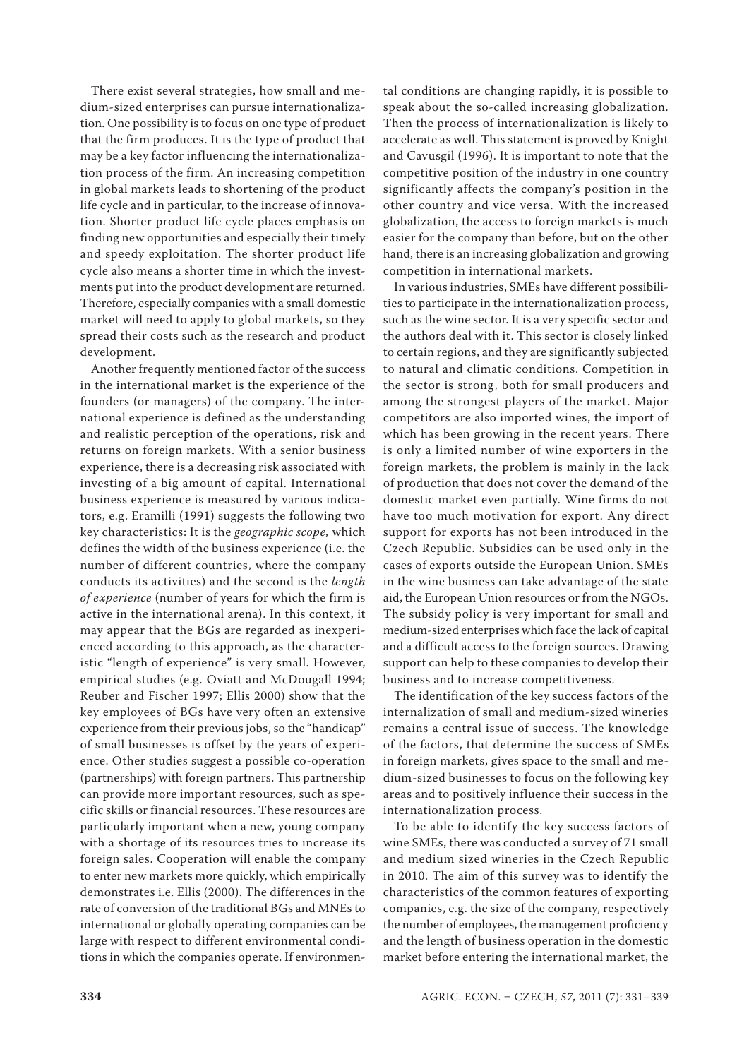There exist several strategies, how small and medium-sized enterprises can pursue internationalization. One possibility is to focus on one type of product that the firm produces. It is the type of product that may be a key factor influencing the internationalization process of the firm. An increasing competition in global markets leads to shortening of the product life cycle and in particular, to the increase of innovation. Shorter product life cycle places emphasis on finding new opportunities and especially their timely and speedy exploitation. The shorter product life cycle also means a shorter time in which the investments put into the product development are returned. Therefore, especially companies with a small domestic market will need to apply to global markets, so they spread their costs such as the research and product development.

Another frequently mentioned factor of the success in the international market is the experience of the founders (or managers) of the company. The international experience is defined as the understanding and realistic perception of the operations, risk and returns on foreign markets. With a senior business experience, there is a decreasing risk associated with investing of a big amount of capital. International business experience is measured by various indicators, e.g. Eramilli (1991) suggests the following two key characteristics: It is the *geographic scope,* which defines the width of the business experience (i.e. the number of different countries, where the company conducts its activities) and the second is the *length of experience* (number of years for which the firm is active in the international arena). In this context, it may appear that the BGs are regarded as inexperienced according to this approach, as the characteristic "length of experience" is very small. However, empirical studies (e.g. Oviatt and McDougall 1994; Reuber and Fischer 1997; Ellis 2000) show that the key employees of BGs have very often an extensive experience from their previous jobs, so the "handicap" of small businesses is offset by the years of experience. Other studies suggest a possible co-operation (partnerships) with foreign partners. This partnership can provide more important resources, such as specific skills or financial resources. These resources are particularly important when a new, young company with a shortage of its resources tries to increase its foreign sales. Cooperation will enable the company to enter new markets more quickly, which empirically demonstrates i.e. Ellis (2000). The differences in the rate of conversion of the traditional BGs and MNEs to international or globally operating companies can be large with respect to different environmental conditions in which the companies operate. If environmen-

tal conditions are changing rapidly, it is possible to speak about the so-called increasing globalization. Then the process of internationalization is likely to accelerate as well. This statement is proved by Knight and Cavusgil (1996). It is important to note that the competitive position of the industry in one country significantly affects the company's position in the other country and vice versa. With the increased globalization, the access to foreign markets is much easier for the company than before, but on the other hand, there is an increasing globalization and growing competition in international markets.

In various industries, SMEs have different possibilities to participate in the internationalization process, such as the wine sector. It is a very specific sector and the authors deal with it. This sector is closely linked to certain regions, and they are significantly subjected to natural and climatic conditions. Competition in the sector is strong, both for small producers and among the strongest players of the market. Major competitors are also imported wines, the import of which has been growing in the recent years. There is only a limited number of wine exporters in the foreign markets, the problem is mainly in the lack of production that does not cover the demand of the domestic market even partially. Wine firms do not have too much motivation for export. Any direct support for exports has not been introduced in the Czech Republic. Subsidies can be used only in the cases of exports outside the European Union. SMEs in the wine business can take advantage of the state aid, the European Union resources or from the NGOs. The subsidy policy is very important for small and medium-sized enterprises which face the lack of capital and a difficult access to the foreign sources. Drawing support can help to these companies to develop their business and to increase competitiveness.

The identification of the key success factors of the internalization of small and medium-sized wineries remains a central issue of success. The knowledge of the factors, that determine the success of SMEs in foreign markets, gives space to the small and medium-sized businesses to focus on the following key areas and to positively influence their success in the internationalization process.

To be able to identify the key success factors of wine SMEs, there was conducted a survey of 71 small and medium sized wineries in the Czech Republic in 2010. The aim of this survey was to identify the characteristics of the common features of exporting companies, e.g. the size of the company, respectively the number of employees, the management proficiency and the length of business operation in the domestic market before entering the international market, the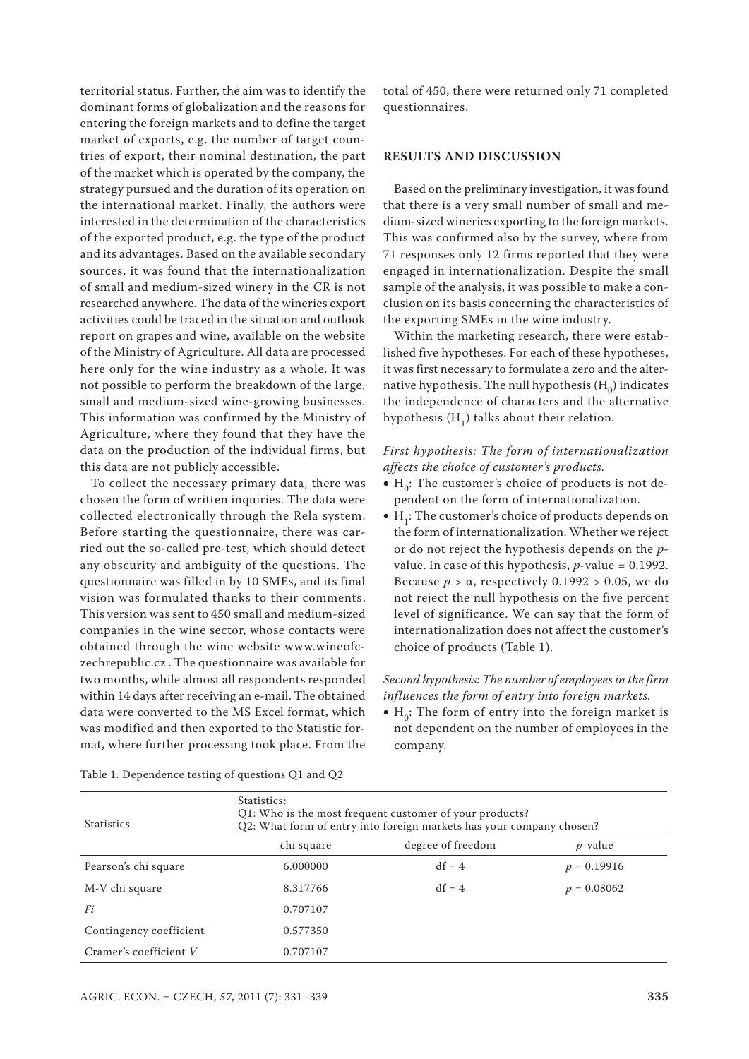territorial status. Further, the aim was to identify the dominant forms of globalization and the reasons for entering the foreign markets and to define the target market of exports, e.g. the number of target countries of export, their nominal destination, the part of the market which is operated by the company, the strategy pursued and the duration of its operation on the international market. Finally, the authors were interested in the determination of the characteristics of the exported product, e.g. the type of the product and its advantages. Based on the available secondary sources, it was found that the internationalization of small and medium-sized winery in the CR is not researched anywhere. The data of the wineries export activities could be traced in the situation and outlook report on grapes and wine, available on the website of the Ministry of Agriculture. All data are processed here only for the wine industry as a whole. It was not possible to perform the breakdown of the large, small and medium-sized wine-growing businesses. This information was confirmed by the Ministry of Agriculture, where they found that they have the data on the production of the individual firms, but this data are not publicly accessible.

To collect the necessary primary data, there was chosen the form of written inquiries. The data were collected electronically through the Rela system. Before starting the questionnaire, there was carried out the so-called pre-test, which should detect any obscurity and ambiguity of the questions. The questionnaire was filled in by 10 SMEs, and its final vision was formulated thanks to their comments. This version was sent to 450 small and medium-sized companies in the wine sector, whose contacts were obtained through the wine website www.wineofczechrepublic.cz . The questionnaire was available for two months, while almost all respondents responded within 14 days after receiving an e-mail. The obtained data were converted to the MS Excel format, which was modified and then exported to the Statistic format, where further processing took place. From the

total of 450, there were returned only 71 completed questionnaires.

#### **RESULTS AND DISCUSSION**

Based on the preliminary investigation, it was found that there is a very small number of small and medium-sized wineries exporting to the foreign markets. This was confirmed also by the survey, where from 71 responses only 12 firms reported that they were engaged in internationalization. Despite the small sample of the analysis, it was possible to make a conclusion on its basis concerning the characteristics of the exporting SMEs in the wine industry.

Within the marketing research, there were established five hypotheses. For each of these hypotheses, it was first necessary to formulate a zero and the alternative hypothesis. The null hypothesis  $(H_0)$  indicates the independence of characters and the alternative hypothesis  $(H_1)$  talks about their relation.

# *First hypothesis: The form of internationalization affects the choice of customer's products.*

- $\bullet$  H<sub>0</sub>: The customer's choice of products is not dependent on the form of internationalization.
- $\bullet$  H<sub>1</sub>: The customer's choice of products depends on the form of internationalization. Whether we reject or do not reject the hypothesis depends on the *p*value. In case of this hypothesis, *p*-value = 0.1992. Because  $p > \alpha$ , respectively 0.1992 > 0.05, we do not reject the null hypothesis on the five percent level of significance. We can say that the form of internationalization does not affect the customer's choice of products (Table 1).

# *Second hypothesis: The number of employees in the firm influences the form of entry into foreign markets.*

•  $H_0$ : The form of entry into the foreign market is not dependent on the number of employees in the company.

| <b>Statistics</b>       | Statistics:<br>Q1: Who is the most frequent customer of your products?<br>Q2: What form of entry into foreign markets has your company chosen? |                   |               |  |
|-------------------------|------------------------------------------------------------------------------------------------------------------------------------------------|-------------------|---------------|--|
|                         | chi square                                                                                                                                     | degree of freedom | $p$ -value    |  |
| Pearson's chi square    | 6.000000                                                                                                                                       | $df = 4$          | $p = 0.19916$ |  |
| M-V chi square          | 8.317766                                                                                                                                       | $df = 4$          | $p = 0.08062$ |  |
| Fi                      | 0.707107                                                                                                                                       |                   |               |  |
| Contingency coefficient | 0.577350                                                                                                                                       |                   |               |  |
| Cramer's coefficient V  | 0.707107                                                                                                                                       |                   |               |  |

Table 1. Dependence testing of questions Q1 and Q2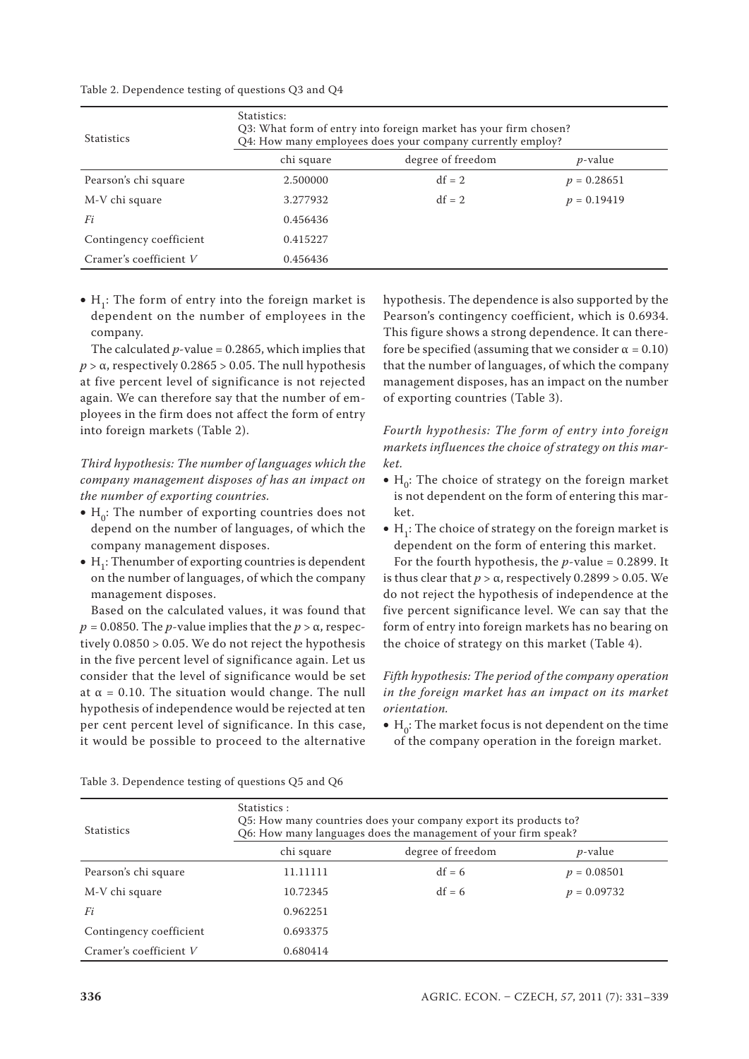| <b>Statistics</b>       | Statistics:<br>Q3: What form of entry into foreign market has your firm chosen?<br>Q4: How many employees does your company currently employ? |                   |                 |  |
|-------------------------|-----------------------------------------------------------------------------------------------------------------------------------------------|-------------------|-----------------|--|
|                         | chi square                                                                                                                                    | degree of freedom | <i>p</i> -value |  |
| Pearson's chi square    | 2.500000                                                                                                                                      | $df = 2$          | $p = 0.28651$   |  |
| M-V chi square          | 3.277932                                                                                                                                      | $df = 2$          | $p = 0.19419$   |  |
| Fi                      | 0.456436                                                                                                                                      |                   |                 |  |
| Contingency coefficient | 0.415227                                                                                                                                      |                   |                 |  |
| Cramer's coefficient V  | 0.456436                                                                                                                                      |                   |                 |  |

| Table 2. Dependence testing of questions Q3 and Q4 |  |  |  |
|----------------------------------------------------|--|--|--|
|----------------------------------------------------|--|--|--|

 $\bullet$  H<sub>1</sub>: The form of entry into the foreign market is dependent on the number of employees in the company.

The calculated  $p$ -value = 0.2865, which implies that  $p > \alpha$ , respectively 0.2865 > 0.05. The null hypothesis at five percent level of significance is not rejected again. We can therefore say that the number of employees in the firm does not affect the form of entry into foreign markets (Table 2).

*Third hypothesis: The number of languages which the company management disposes of has an impact on the number of exporting countries.*

- $\bullet$  H<sub>0</sub>: The number of exporting countries does not depend on the number of languages, of which the company management disposes.
- $\bullet$  H<sub>1</sub>: Thenumber of exporting countries is dependent on the number of languages, of which the company management disposes.

Based on the calculated values, it was found that  $p = 0.0850$ . The *p*-value implies that the  $p > \alpha$ , respectively 0.0850 > 0.05. We do not reject the hypothesis in the five percent level of significance again. Let us consider that the level of significance would be set at  $\alpha$  = 0.10. The situation would change. The null hypothesis of independence would be rejected at ten per cent percent level of significance. In this case, it would be possible to proceed to the alternative

hypothesis. The dependence is also supported by the Pearson's contingency coefficient, which is 0.6934. This figure shows a strong dependence. It can therefore be specified (assuming that we consider  $\alpha = 0.10$ ) that the number of languages, of which the company management disposes, has an impact on the number of exporting countries (Table 3).

*Fourth hypothesis: The form of entry into foreign markets influences the choice of strategy on this market.*

- $\bullet$  H<sub>0</sub>: The choice of strategy on the foreign market is not dependent on the form of entering this market.
- $\bullet$  H<sub>1</sub>: The choice of strategy on the foreign market is dependent on the form of entering this market.

For the fourth hypothesis, the *p*-value = 0.2899. It is thus clear that  $p > \alpha$ , respectively 0.2899  $> 0.05$ . We do not reject the hypothesis of independence at the five percent significance level. We can say that the form of entry into foreign markets has no bearing on the choice of strategy on this market (Table 4).

*Fifth hypothesis: The period of the company operation in the foreign market has an impact on its market orientation.*

•  $H_0$ : The market focus is not dependent on the time of the company operation in the foreign market.

| <b>Statistics</b>       | Statistics :<br>Q5: How many countries does your company export its products to?<br>Q6: How many languages does the management of your firm speak? |                   |               |  |
|-------------------------|----------------------------------------------------------------------------------------------------------------------------------------------------|-------------------|---------------|--|
|                         | chi square                                                                                                                                         | degree of freedom | $p$ -value    |  |
| Pearson's chi square    | 11.11111                                                                                                                                           | $df = 6$          | $p = 0.08501$ |  |
| M-V chi square          | 10.72345                                                                                                                                           | $df = 6$          | $p = 0.09732$ |  |
| Fi                      | 0.962251                                                                                                                                           |                   |               |  |
| Contingency coefficient | 0.693375                                                                                                                                           |                   |               |  |
| Cramer's coefficient V  | 0.680414                                                                                                                                           |                   |               |  |
|                         |                                                                                                                                                    |                   |               |  |

Table 3. Dependence testing of questions Q5 and Q6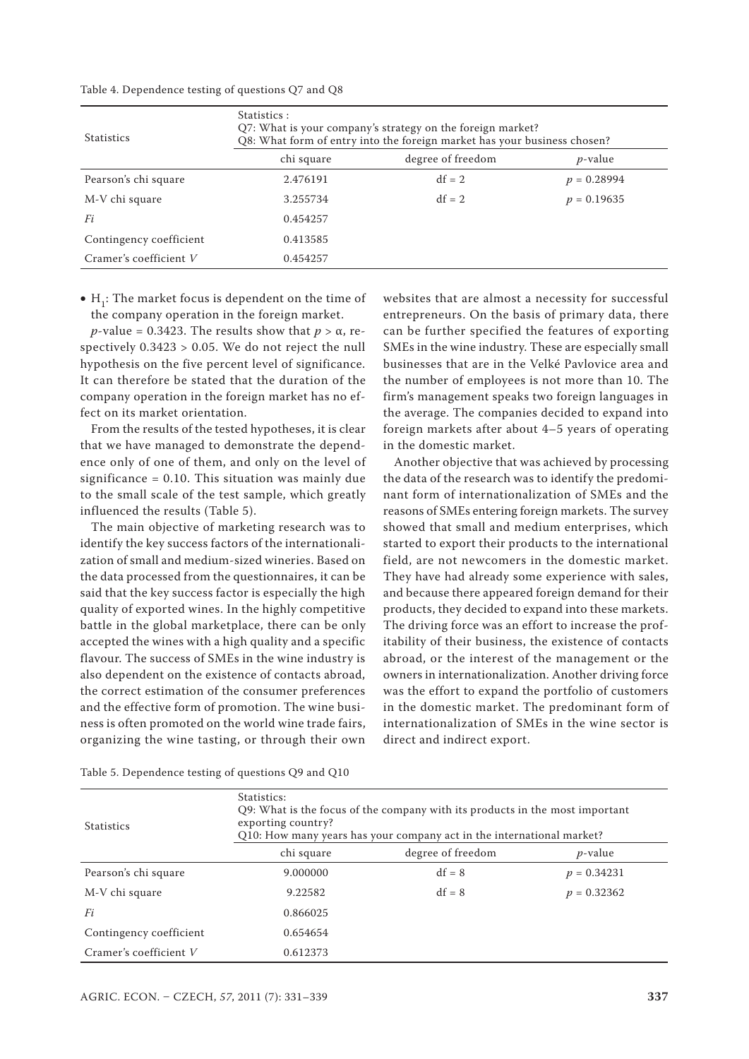| <b>Statistics</b>       | Statistics :<br>Q7: What is your company's strategy on the foreign market?<br>Q8: What form of entry into the foreign market has your business chosen? |                   |               |  |
|-------------------------|--------------------------------------------------------------------------------------------------------------------------------------------------------|-------------------|---------------|--|
|                         | chi square                                                                                                                                             | degree of freedom | $p$ -value    |  |
| Pearson's chi square    | 2.476191                                                                                                                                               | $df = 2$          | $p = 0.28994$ |  |
| M-V chi square          | 3.255734                                                                                                                                               | $df = 2$          | $p = 0.19635$ |  |
| Fi                      | 0.454257                                                                                                                                               |                   |               |  |
| Contingency coefficient | 0.413585                                                                                                                                               |                   |               |  |
| Cramer's coefficient V  | 0.454257                                                                                                                                               |                   |               |  |

| Table 4. Dependence testing of questions Q7 and Q8 |  |  |  |  |  |
|----------------------------------------------------|--|--|--|--|--|
|----------------------------------------------------|--|--|--|--|--|

 $\bullet$  H<sub>1</sub>: The market focus is dependent on the time of the company operation in the foreign market.

*p*-value = 0.3423. The results show that  $p > \alpha$ , respectively 0.3423 > 0.05. We do not reject the null hypothesis on the five percent level of significance. It can therefore be stated that the duration of the company operation in the foreign market has no effect on its market orientation.

From the results of the tested hypotheses, it is clear that we have managed to demonstrate the dependence only of one of them, and only on the level of significance  $= 0.10$ . This situation was mainly due to the small scale of the test sample, which greatly influenced the results (Table 5).

The main objective of marketing research was to identify the key success factors of the internationalization of small and medium-sized wineries. Based on the data processed from the questionnaires, it can be said that the key success factor is especially the high quality of exported wines. In the highly competitive battle in the global marketplace, there can be only accepted the wines with a high quality and a specific flavour. The success of SMEs in the wine industry is also dependent on the existence of contacts abroad, the correct estimation of the consumer preferences and the effective form of promotion. The wine business is often promoted on the world wine trade fairs, organizing the wine tasting, or through their own websites that are almost a necessity for successful entrepreneurs. On the basis of primary data, there can be further specified the features of exporting SMEs in the wine industry. These are especially small businesses that are in the Velké Pavlovice area and the number of employees is not more than 10. The firm's management speaks two foreign languages in the average. The companies decided to expand into foreign markets after about 4–5 years of operating in the domestic market.

Another objective that was achieved by processing the data of the research was to identify the predominant form of internationalization of SMEs and the reasons of SMEs entering foreign markets. The survey showed that small and medium enterprises, which started to export their products to the international field, are not newcomers in the domestic market. They have had already some experience with sales, and because there appeared foreign demand for their products, they decided to expand into these markets. The driving force was an effort to increase the profitability of their business, the existence of contacts abroad, or the interest of the management or the owners in internationalization. Another driving force was the effort to expand the portfolio of customers in the domestic market. The predominant form of internationalization of SMEs in the wine sector is direct and indirect export.

| <b>Statistics</b>       | Statistics:<br>Q9: What is the focus of the company with its products in the most important<br>exporting country?<br>Q10: How many years has your company act in the international market? |                   |               |  |
|-------------------------|--------------------------------------------------------------------------------------------------------------------------------------------------------------------------------------------|-------------------|---------------|--|
|                         | chi square                                                                                                                                                                                 | degree of freedom | $p$ -value    |  |
| Pearson's chi square    | 9.000000                                                                                                                                                                                   | $df = 8$          | $p = 0.34231$ |  |
| M-V chi square          | 9.22582                                                                                                                                                                                    | $df = 8$          | $p = 0.32362$ |  |
| Fi                      | 0.866025                                                                                                                                                                                   |                   |               |  |
| Contingency coefficient | 0.654654                                                                                                                                                                                   |                   |               |  |
| Cramer's coefficient V  | 0.612373                                                                                                                                                                                   |                   |               |  |

Table 5. Dependence testing of questions Q9 and Q10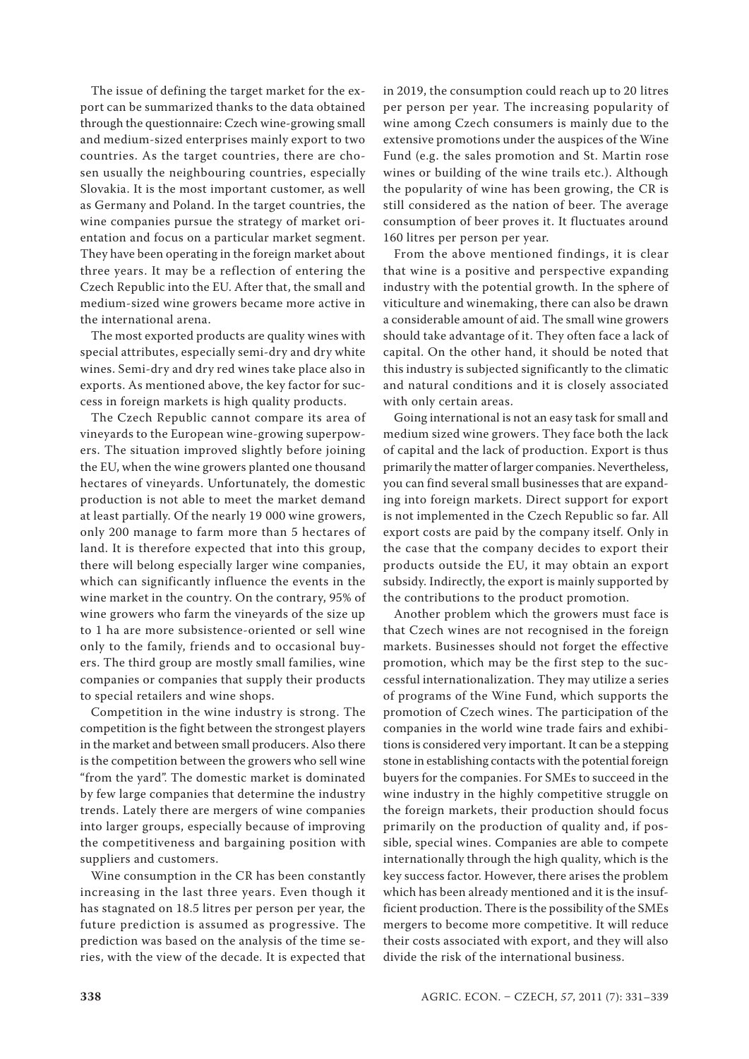The issue of defining the target market for the export can be summarized thanks to the data obtained through the questionnaire: Czech wine-growing small and medium-sized enterprises mainly export to two countries. As the target countries, there are chosen usually the neighbouring countries, especially Slovakia. It is the most important customer, as well as Germany and Poland. In the target countries, the wine companies pursue the strategy of market orientation and focus on a particular market segment. They have been operating in the foreign market about three years. It may be a reflection of entering the Czech Republic into the EU. After that, the small and medium-sized wine growers became more active in the international arena.

The most exported products are quality wines with special attributes, especially semi-dry and dry white wines. Semi-dry and dry red wines take place also in exports. As mentioned above, the key factor for success in foreign markets is high quality products.

The Czech Republic cannot compare its area of vineyards to the European wine-growing superpowers. The situation improved slightly before joining the EU, when the wine growers planted one thousand hectares of vineyards. Unfortunately, the domestic production is not able to meet the market demand at least partially. Of the nearly 19 000 wine growers, only 200 manage to farm more than 5 hectares of land. It is therefore expected that into this group, there will belong especially larger wine companies, which can significantly influence the events in the wine market in the country. On the contrary, 95% of wine growers who farm the vineyards of the size up to 1 ha are more subsistence-oriented or sell wine only to the family, friends and to occasional buyers. The third group are mostly small families, wine companies or companies that supply their products to special retailers and wine shops.

Competition in the wine industry is strong. The competition is the fight between the strongest players in the market and between small producers. Also there is the competition between the growers who sell wine "from the yard". The domestic market is dominated by few large companies that determine the industry trends. Lately there are mergers of wine companies into larger groups, especially because of improving the competitiveness and bargaining position with suppliers and customers.

Wine consumption in the CR has been constantly increasing in the last three years. Even though it has stagnated on 18.5 litres per person per year, the future prediction is assumed as progressive. The prediction was based on the analysis of the time series, with the view of the decade. It is expected that in 2019, the consumption could reach up to 20 litres per person per year. The increasing popularity of wine among Czech consumers is mainly due to the extensive promotions under the auspices of the Wine Fund (e.g. the sales promotion and St. Martin rose wines or building of the wine trails etc.). Although the popularity of wine has been growing, the CR is still considered as the nation of beer. The average consumption of beer proves it. It fluctuates around 160 litres per person per year.

From the above mentioned findings, it is clear that wine is a positive and perspective expanding industry with the potential growth. In the sphere of viticulture and winemaking, there can also be drawn a considerable amount of aid. The small wine growers should take advantage of it. They often face a lack of capital. On the other hand, it should be noted that this industry is subjected significantly to the climatic and natural conditions and it is closely associated with only certain areas.

Going international is not an easy task for small and medium sized wine growers. They face both the lack of capital and the lack of production. Export is thus primarily the matter of larger companies. Nevertheless, you can find several small businesses that are expanding into foreign markets. Direct support for export is not implemented in the Czech Republic so far. All export costs are paid by the company itself. Only in the case that the company decides to export their products outside the EU, it may obtain an export subsidy. Indirectly, the export is mainly supported by the contributions to the product promotion.

Another problem which the growers must face is that Czech wines are not recognised in the foreign markets. Businesses should not forget the effective promotion, which may be the first step to the successful internationalization. They may utilize a series of programs of the Wine Fund, which supports the promotion of Czech wines. The participation of the companies in the world wine trade fairs and exhibitions is considered very important. It can be a stepping stone in establishing contacts with the potential foreign buyers for the companies. For SMEs to succeed in the wine industry in the highly competitive struggle on the foreign markets, their production should focus primarily on the production of quality and, if possible, special wines. Companies are able to compete internationally through the high quality, which is the key success factor. However, there arises the problem which has been already mentioned and it is the insufficient production. There is the possibility of the SMEs mergers to become more competitive. It will reduce their costs associated with export, and they will also divide the risk of the international business.